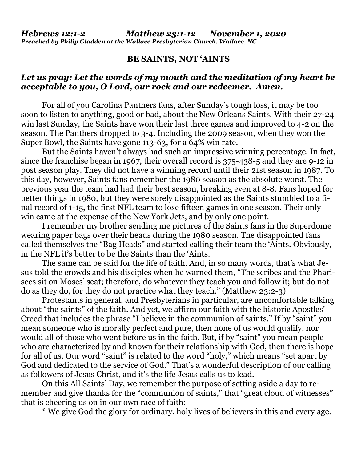## **BE SAINTS, NOT 'AINTS**

## *Let us pray: Let the words of my mouth and the meditation of my heart be acceptable to you, O Lord, our rock and our redeemer. Amen.*

For all of you Carolina Panthers fans, after Sunday's tough loss, it may be too soon to listen to anything, good or bad, about the New Orleans Saints. With their 27-24 win last Sunday, the Saints have won their last three games and improved to 4-2 on the season. The Panthers dropped to 3-4. Including the 2009 season, when they won the Super Bowl, the Saints have gone 113-63, for a 64% win rate.

But the Saints haven't always had such an impressive winning percentage. In fact, since the franchise began in 1967, their overall record is 375-438-5 and they are 9-12 in post season play. They did not have a winning record until their 21st season in 1987. To this day, however, Saints fans remember the 1980 season as the absolute worst. The previous year the team had had their best season, breaking even at 8-8. Fans hoped for better things in 1980, but they were sorely disappointed as the Saints stumbled to a final record of 1-15, the first NFL team to lose fifteen games in one season. Their only win came at the expense of the New York Jets, and by only one point.

I remember my brother sending me pictures of the Saints fans in the Superdome wearing paper bags over their heads during the 1980 season. The disappointed fans called themselves the "Bag Heads" and started calling their team the 'Aints. Obviously, in the NFL it's better to be the Saints than the 'Aints.

The same can be said for the life of faith. And, in so many words, that's what Jesus told the crowds and his disciples when he warned them, "The scribes and the Pharisees sit on Moses' seat; therefore, do whatever they teach you and follow it; but do not do as they do, for they do not practice what they teach." (Matthew 23:2-3)

Protestants in general, and Presbyterians in particular, are uncomfortable talking about "the saints" of the faith. And yet, we affirm our faith with the historic Apostles' Creed that includes the phrase "I believe in the communion of saints." If by "saint" you mean someone who is morally perfect and pure, then none of us would qualify, nor would all of those who went before us in the faith. But, if by "saint" you mean people who are characterized by and known for their relationship with God, then there is hope for all of us. Our word "saint" is related to the word "holy," which means "set apart by God and dedicated to the service of God." That's a wonderful description of our calling as followers of Jesus Christ, and it's the life Jesus calls us to lead.

On this All Saints' Day, we remember the purpose of setting aside a day to remember and give thanks for the "communion of saints," that "great cloud of witnesses" that is cheering us on in our own race of faith:

\* We give God the glory for ordinary, holy lives of believers in this and every age.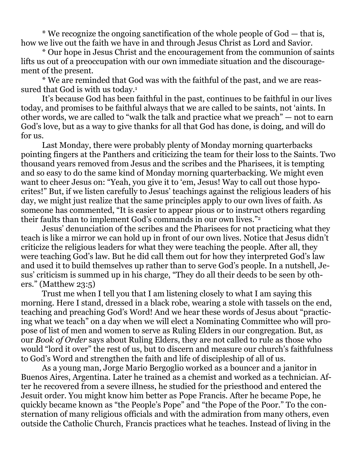\* We recognize the ongoing sanctification of the whole people of God — that is, how we live out the faith we have in and through Jesus Christ as Lord and Savior.

\* Our hope in Jesus Christ and the encouragement from the communion of saints lifts us out of a preoccupation with our own immediate situation and the discouragement of the present.

\* We are reminded that God was with the faithful of the past, and we are reassured that God is with us today.<sup>1</sup>

It's because God has been faithful in the past, continues to be faithful in our lives today, and promises to be faithful always that we are called to be saints, not 'aints. In other words, we are called to "walk the talk and practice what we preach" — not to earn God's love, but as a way to give thanks for all that God has done, is doing, and will do for us.

Last Monday, there were probably plenty of Monday morning quarterbacks pointing fingers at the Panthers and criticizing the team for their loss to the Saints. Two thousand years removed from Jesus and the scribes and the Pharisees, it is tempting and so easy to do the same kind of Monday morning quarterbacking. We might even want to cheer Jesus on: "Yeah, you give it to 'em, Jesus! Way to call out those hypocrites!" But, if we listen carefully to Jesus' teachings against the religious leaders of his day, we might just realize that the same principles apply to our own lives of faith. As someone has commented, "It is easier to appear pious or to instruct others regarding their faults than to implement God's commands in our own lives."<sup>2</sup>

Jesus' denunciation of the scribes and the Pharisees for not practicing what they teach is like a mirror we can hold up in front of our own lives. Notice that Jesus didn't criticize the religious leaders for what they were teaching the people. After all, they were teaching God's law. But he did call them out for how they interpreted God's law and used it to build themselves up rather than to serve God's people. In a nutshell, Jesus' criticism is summed up in his charge, "They do all their deeds to be seen by others." (Matthew 23:5)

Trust me when I tell you that I am listening closely to what I am saying this morning. Here I stand, dressed in a black robe, wearing a stole with tassels on the end, teaching and preaching God's Word! And we hear these words of Jesus about "practicing what we teach" on a day when we will elect a Nominating Committee who will propose of list of men and women to serve as Ruling Elders in our congregation. But, as our *Book of Order* says about Ruling Elders, they are not called to rule as those who would "lord it over" the rest of us, but to discern and measure our church's faithfulness to God's Word and strengthen the faith and life of discipleship of all of us.

As a young man, Jorge Mario Bergoglio worked as a bouncer and a janitor in Buenos Aires, Argentina. Later he trained as a chemist and worked as a technician. After he recovered from a severe illness, he studied for the priesthood and entered the Jesuit order. You might know him better as Pope Francis. After he became Pope, he quickly became known as "the People's Pope" and "the Pope of the Poor." To the consternation of many religious officials and with the admiration from many others, even outside the Catholic Church, Francis practices what he teaches. Instead of living in the